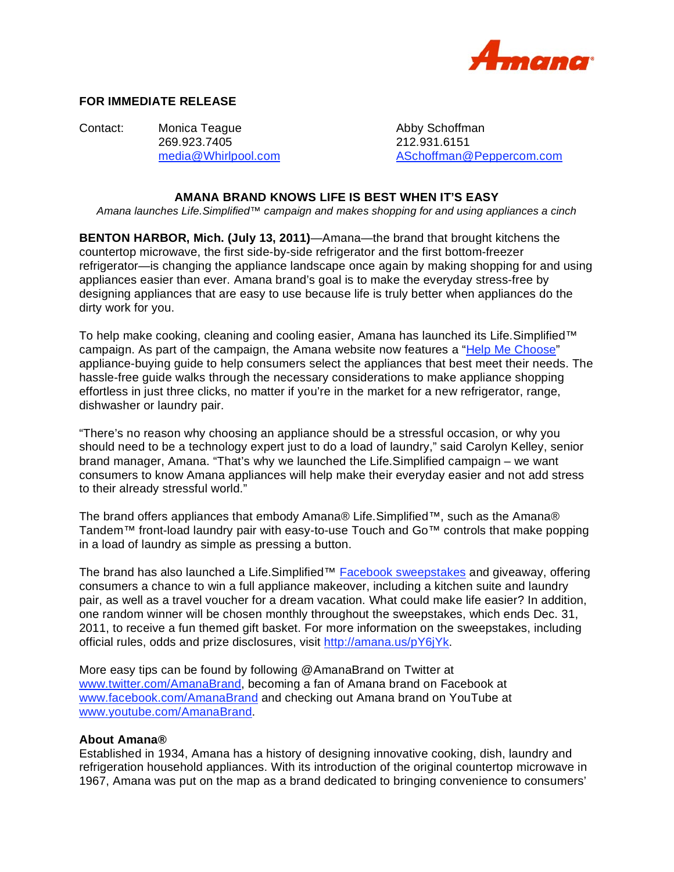

## **FOR IMMEDIATE RELEASE**

Contact: Monica Teague **Abby Schoffman** 269.923.7405 212.931.6151

media@Whirlpool.com ASchoffman@Peppercom.com

## **AMANA BRAND KNOWS LIFE IS BEST WHEN IT'S EASY**

*Amana launches Life.Simplified™ campaign and makes shopping for and using appliances a cinch* 

**BENTON HARBOR, Mich. (July 13, 2011)**—Amana—the brand that brought kitchens the countertop microwave, the first side-by-side refrigerator and the first bottom-freezer refrigerator—is changing the appliance landscape once again by making shopping for and using appliances easier than ever. Amana brand's goal is to make the everyday stress-free by designing appliances that are easy to use because life is truly better when appliances do the dirty work for you.

To help make cooking, cleaning and cooling easier, Amana has launched its Life.Simplified™ campaign. As part of the campaign, the Amana website now features a "Help Me Choose" appliance-buying guide to help consumers select the appliances that best meet their needs. The hassle-free guide walks through the necessary considerations to make appliance shopping effortless in just three clicks, no matter if you're in the market for a new refrigerator, range, dishwasher or laundry pair.

"There's no reason why choosing an appliance should be a stressful occasion, or why you should need to be a technology expert just to do a load of laundry," said Carolyn Kelley, senior brand manager, Amana. "That's why we launched the Life.Simplified campaign – we want consumers to know Amana appliances will help make their everyday easier and not add stress to their already stressful world."

The brand offers appliances that embody Amana® Life.Simplified™, such as the Amana® Tandem™ front-load laundry pair with easy-to-use Touch and Go™ controls that make popping in a load of laundry as simple as pressing a button.

The brand has also launched a Life.Simplified™ Facebook sweepstakes and giveaway, offering consumers a chance to win a full appliance makeover, including a kitchen suite and laundry pair, as well as a travel voucher for a dream vacation. What could make life easier? In addition, one random winner will be chosen monthly throughout the sweepstakes, which ends Dec. 31, 2011, to receive a fun themed gift basket. For more information on the sweepstakes, including official rules, odds and prize disclosures, visit http://amana.us/pY6jYk.

More easy tips can be found by following @AmanaBrand on Twitter at www.twitter.com/AmanaBrand, becoming a fan of Amana brand on Facebook at www.facebook.com/AmanaBrand and checking out Amana brand on YouTube at www.youtube.com/AmanaBrand.

## **About Amana®**

Established in 1934, Amana has a history of designing innovative cooking, dish, laundry and refrigeration household appliances. With its introduction of the original countertop microwave in 1967, Amana was put on the map as a brand dedicated to bringing convenience to consumers'